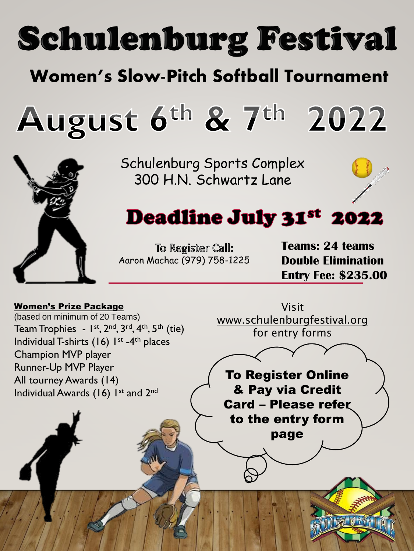# **Schulenburg Festival**

## Women's Slow-Pitch Softball Tournament

August  $6^{\text{th}}$  &  $7^{\text{th}}$ 2022



Schulenburg Sports Complex 300 H.N. Schwartz Lane



# **Deadline July 31st 2022**

To Register Call: Aaron Machac (979) 758-1225 **Teams: 24 teams Double Elimination Entry Fee: \$235.00**

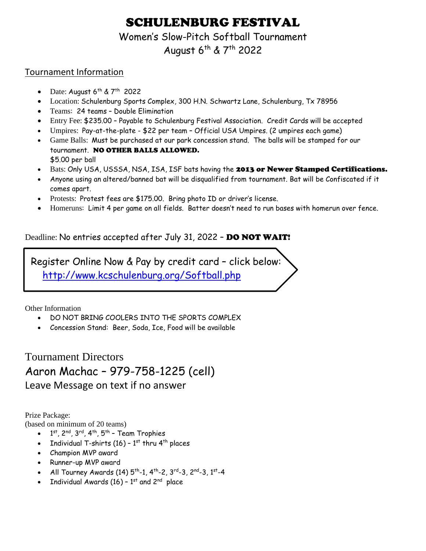### SCHULENBURG FESTIVAL

Women's Slow-Pitch Softball Tournament

August 6<sup>th</sup> & 7<sup>th</sup> 2022

#### Tournament Information

- Date: August  $6^{th}$  &  $7^{th}$  2022
- Location: Schulenburg Sports Complex, 300 H.N. Schwartz Lane, Schulenburg, Tx 78956
- Teams: 24 teams Double Elimination
- Entry Fee: \$235.00 Payable to Schulenburg Festival Association. Credit Cards will be accepted
- Umpires: Pay-at-the-plate \$22 per team Official USA Umpires. (2 umpires each game)
- Game Balls: Must be purchased at our park concession stand. The balls will be stamped for our tournament. NO OTHER BALLS ALLOWED. \$5.00 per ball
- Bats: Only USA, USSSA, NSA, ISA, ISF bats having the 2013 or Newer Stamped Certifications.
- Anyone using an altered/banned bat will be disqualified from tournament. Bat will be Confiscated if it comes apart.
- Protests: Protest fees are \$175.00. Bring photo ID or driver's license.
- Homeruns: Limit 4 per game on all fields. Batter doesn't need to run bases with homerun over fence.

#### Deadline: No entries accepted after July 31, 2022 – DO NOT WAIT!

 Register Online Now & Pay by credit card – click below: <http://www.kcschulenburg.org/Softball.php>

Other Information

- DO NOT BRING COOLERS INTO THE SPORTS COMPLEX
- Concession Stand: Beer, Soda, Ice, Food will be available

Tournament Directors Aaron Machac – 979-758-1225 (cell) Leave Message on text if no answer

Prize Package:

- (based on minimum of 20 teams)
	- $\bullet$   $1^\text{st}$ , 2<sup>nd</sup>, 3<sup>rd</sup>, 4<sup>th</sup>, 5<sup>th</sup> Team Trophies
	- Individual T-shirts (16)  $1<sup>st</sup>$  thru 4<sup>th</sup> places
	- Champion MVP award
	- Runner-up MVP award
	- All Tourney Awards (14)  $5^{\text{th}}$ -1, 4 $^{\text{th}}$ -2, 3 $^{\text{rd}}$ -3, 2 $^{\text{nd}}$ -3, 1 $^{\text{st}}$ -4
	- Individual Awards (16)  $1^{\text{st}}$  and  $2^{\text{nd}}$  place